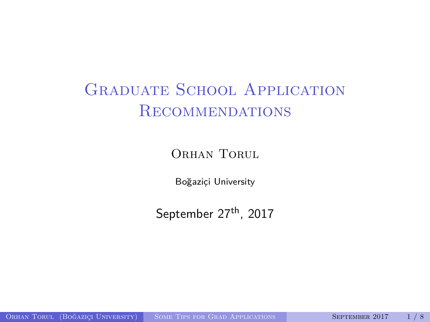# <span id="page-0-0"></span>GRADUATE SCHOOL APPLICATION Recommendations

ORHAN TORUL

Boğaziçi University

September 27<sup>th</sup>, 2017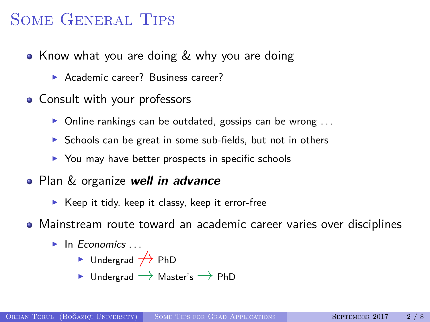### Some General Tips

- Know what you are doing & why you are doing
	- ▶ Academic career? Business career?
- Consult with your professors
	- $\triangleright$  Online rankings can be outdated, gossips can be wrong ...
	- $\triangleright$  Schools can be great in some sub-fields, but not in others
	- $\triangleright$  You may have better prospects in specific schools
- Plan & organize **well in advance**
	- $\blacktriangleright$  Keep it tidy, keep it classy, keep it error-free
- Mainstream route toward an academic career varies over disciplines
	- $\blacktriangleright$  In Economics ...
		- $\triangleright$  Undergrad  $\nightharpoonup$  PhD
		- $\triangleright$  Undergrad  $\rightarrow$  Master's  $\rightarrow$  PhD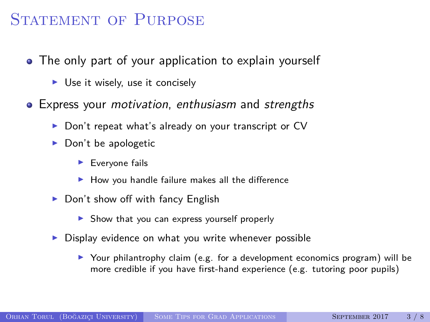#### STATEMENT OF PURPOSE

- The only part of your application to explain yourself
	- $\triangleright$  Use it wisely, use it concisely
- Express your *motivation*, enthusiasm and strengths
	- $\triangleright$  Don't repeat what's already on your transcript or CV
	- $\blacktriangleright$  Don't be apologetic
		- $\blacktriangleright$  Everyone fails
		- $\blacktriangleright$  How you handle failure makes all the difference
	- $\blacktriangleright$  Don't show off with fancy English
		- $\triangleright$  Show that you can express yourself properly
	- $\triangleright$  Display evidence on what you write whenever possible
		- $\triangleright$  Your philantrophy claim (e.g. for a development economics program) will be more credible if you have first-hand experience (e.g. tutoring poor pupils)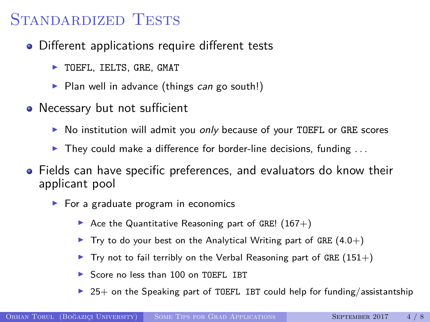#### STANDARDIZED TESTS

- Different applications require different tests
	- $\blacktriangleright$  TOEFL, IELTS, GRE, GMAT
	- $\triangleright$  Plan well in advance (things can go south!)
- Necessary but not sufficient
	- $\triangleright$  No institution will admit you *only* because of your TOEFL or GRE scores
	- $\blacktriangleright$  They could make a difference for border-line decisions, funding ...
- Fields can have specific preferences, and evaluators do know their applicant pool
	- $\blacktriangleright$  For a graduate program in economics
		- Ace the Quantitative Reasoning part of GRE!  $(167+)$
		- $\blacktriangleright$  Try to do your best on the Analytical Writing part of GRE (4.0+)
		- Try not to fail terribly on the Verbal Reasoning part of GRE  $(151+)$
		- ▶ Score no less than 100 on TOEFL IBT
		- $25+$  on the Speaking part of TOEFL IBT could help for funding/assistantship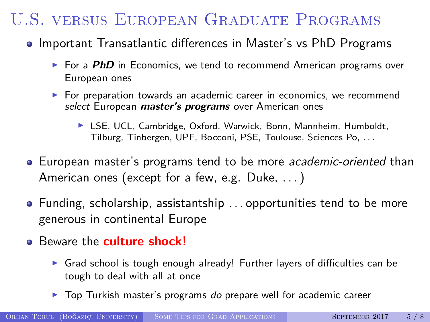# U.S. versus European Graduate Programs

- Important Transatlantic differences in Master's vs PhD Programs
	- ► For a *PhD* in Economics, we tend to recommend American programs over European ones
	- $\blacktriangleright$  For preparation towards an academic career in economics, we recommend select European **master's programs** over American ones
		- ▶ LSE, UCL, Cambridge, Oxford, Warwick, Bonn, Mannheim, Humboldt, Tilburg, Tinbergen, UPF, Bocconi, PSE, Toulouse, Sciences Po, . . .
- European master's programs tend to be more *academic-oriented* than American ones (except for a few, e.g. Duke, . . . )
- $\bullet$  Funding, scholarship, assistantship ... opportunities tend to be more generous in continental Europe
- Beware the **culture shock!**
	- $\triangleright$  Grad school is tough enough already! Further layers of difficulties can be tough to deal with all at once
	- $\triangleright$  Top Turkish master's programs do prepare well for academic career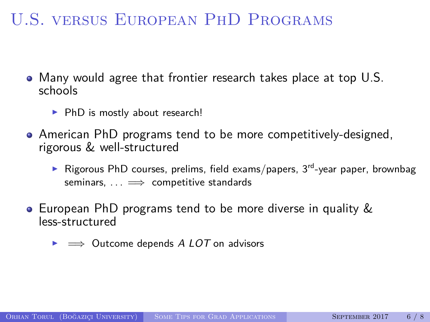## U.S. versus European PhD Programs

- Many would agree that frontier research takes place at top U.S. schools
	- $\blacktriangleright$  PhD is mostly about research!
- American PhD programs tend to be more competitively-designed, rigorous & well-structured
	- Rigorous PhD courses, prelims, field exams/papers,  $3^{rd}$ -year paper, brownbag seminars,  $\dots \implies$  competitive standards
- European PhD programs tend to be more diverse in quality & less-structured
	- $\triangleright \implies$  Outcome depends A LOT on advisors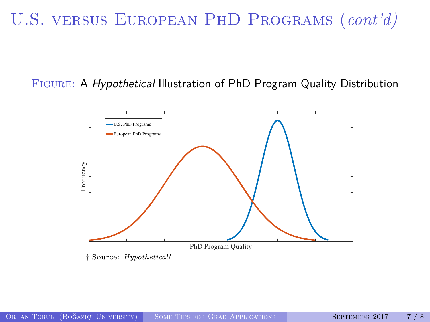# U.S. versus European PhD Programs (*cont'd)*

#### Figure: A Hypothetical Illustration of PhD Program Quality Distribution